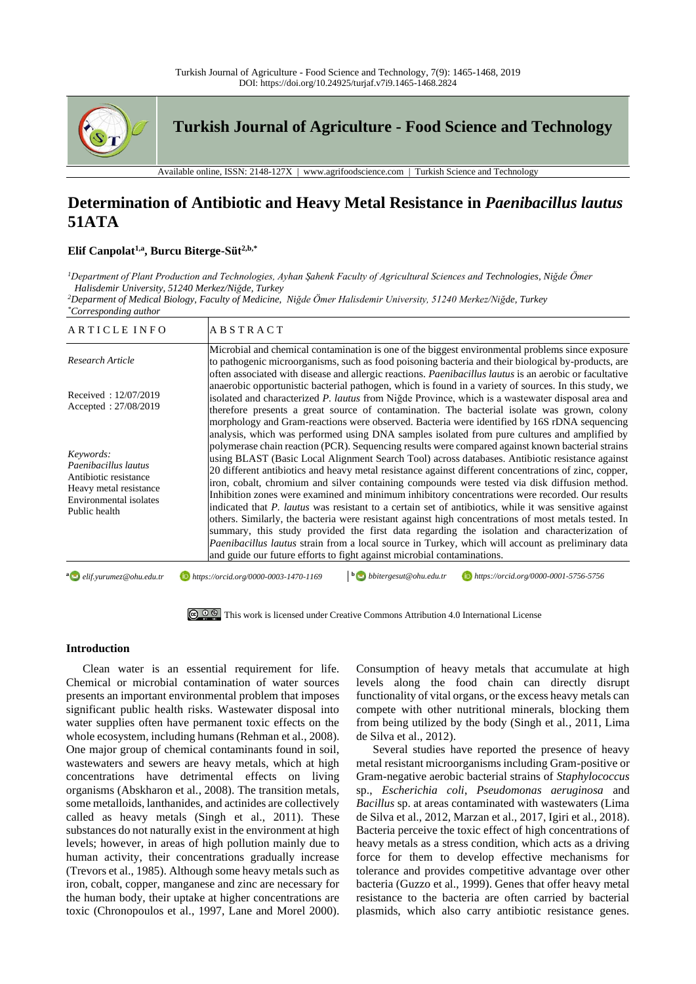

# **Determination of Antibiotic and Heavy Metal Resistance in** *Paenibacillus lautus* **51ATA**

# **Elif Canpolat1,a, Burcu Biterge-Süt2,b,\***

*<sup>1</sup>Department of Plant Production and Technologies, Ayhan Şahenk Faculty of Agricultural Sciences and Technologies, Niğde Ömer Halisdemir University, 51240 Merkez/Niğde, Turkey*

*<sup>2</sup>Deparment of Medical Biology, Faculty of Medicine, Niğde Ömer Halisdemir University, 51240 Merkez/Niğde, Turkey*

*\*Corresponding author*

| ARTICLE INFO                                                                                                                    | <b>ABSTRACT</b>                                                                                                                                                                                                                                                                                                                                                                                                                                                                                                                                                                                                                                                                                                                                                                                                                                                                                                                                                                                                                                                                                                           |
|---------------------------------------------------------------------------------------------------------------------------------|---------------------------------------------------------------------------------------------------------------------------------------------------------------------------------------------------------------------------------------------------------------------------------------------------------------------------------------------------------------------------------------------------------------------------------------------------------------------------------------------------------------------------------------------------------------------------------------------------------------------------------------------------------------------------------------------------------------------------------------------------------------------------------------------------------------------------------------------------------------------------------------------------------------------------------------------------------------------------------------------------------------------------------------------------------------------------------------------------------------------------|
| Research Article                                                                                                                | Microbial and chemical contamination is one of the biggest environmental problems since exposure<br>to pathogenic microorganisms, such as food poisoning bacteria and their biological by-products, are<br>often associated with disease and allergic reactions. <i>Paenibacillus lautus</i> is an aerobic or facultative                                                                                                                                                                                                                                                                                                                                                                                                                                                                                                                                                                                                                                                                                                                                                                                                 |
| Received: 12/07/2019<br>Accepted: 27/08/2019                                                                                    | anaerobic opportunistic bacterial pathogen, which is found in a variety of sources. In this study, we<br>isolated and characterized P. lautus from Nigde Province, which is a wastewater disposal area and<br>therefore presents a great source of contamination. The bacterial isolate was grown, colony<br>morphology and Gram-reactions were observed. Bacteria were identified by 16S rDNA sequencing                                                                                                                                                                                                                                                                                                                                                                                                                                                                                                                                                                                                                                                                                                                 |
| Keywords:<br>Paenibacillus lautus<br>Antibiotic resistance<br>Heavy metal resistance<br>Environmental isolates<br>Public health | analysis, which was performed using DNA samples isolated from pure cultures and amplified by<br>polymerase chain reaction (PCR). Sequencing results were compared against known bacterial strains<br>using BLAST (Basic Local Alignment Search Tool) across databases. Antibiotic resistance against<br>20 different antibiotics and heavy metal resistance against different concentrations of zinc, copper,<br>iron, cobalt, chromium and silver containing compounds were tested via disk diffusion method.<br>Inhibition zones were examined and minimum inhibitory concentrations were recorded. Our results<br>indicated that P. lautus was resistant to a certain set of antibiotics, while it was sensitive against<br>others. Similarly, the bacteria were resistant against high concentrations of most metals tested. In<br>summary, this study provided the first data regarding the isolation and characterization of<br><i>Paenibacillus lautus</i> strain from a local source in Turkey, which will account as preliminary data<br>and guide our future efforts to fight against microbial contaminations. |
| a elif.yurumez@ohu.edu.tr                                                                                                       | $\mathbf{b}$ bbitergesut@ohu.edu.tr<br>https://orcid.org/0000-0003-1470-1169<br>https://orcid.org/0000-0001-5756-5756                                                                                                                                                                                                                                                                                                                                                                                                                                                                                                                                                                                                                                                                                                                                                                                                                                                                                                                                                                                                     |

[This work is licensed under Creative Commons Attribution 4.0 International License](http://creativecommons.org/licenses/by-nc/4.0/)

# **Introduction**

Clean water is an essential requirement for life. Chemical or microbial contamination of water sources presents an important environmental problem that imposes significant public health risks. Wastewater disposal into water supplies often have permanent toxic effects on the whole ecosystem, including humans (Rehman et al., 2008). One major group of chemical contaminants found in soil, wastewaters and sewers are heavy metals, which at high concentrations have detrimental effects on living organisms (Abskharon et al., 2008). The transition metals, some metalloids, lanthanides, and actinides are collectively called as heavy metals (Singh et al., 2011). These substances do not naturally exist in the environment at high levels; however, in areas of high pollution mainly due to human activity, their concentrations gradually increase (Trevors et al., 1985). Although some heavy metals such as iron, cobalt, copper, manganese and zinc are necessary for the human body, their uptake at higher concentrations are toxic (Chronopoulos et al., 1997, Lane and Morel 2000). Consumption of heavy metals that accumulate at high levels along the food chain can directly disrupt functionality of vital organs, or the excess heavy metals can compete with other nutritional minerals, blocking them from being utilized by the body (Singh et al., 2011, Lima de Silva et al., 2012).

Several studies have reported the presence of heavy metal resistant microorganisms including Gram-positive or Gram-negative aerobic bacterial strains of *Staphylococcus* sp., *Escherichia coli*, *Pseudomonas aeruginosa* and *Bacillus* sp. at areas contaminated with wastewaters (Lima de Silva et al., 2012, Marzan et al., 2017, Igiri et al., 2018). Bacteria perceive the toxic effect of high concentrations of heavy metals as a stress condition, which acts as a driving force for them to develop effective mechanisms for tolerance and provides competitive advantage over other bacteria (Guzzo et al., 1999). Genes that offer heavy metal resistance to the bacteria are often carried by bacterial plasmids, which also carry antibiotic resistance genes.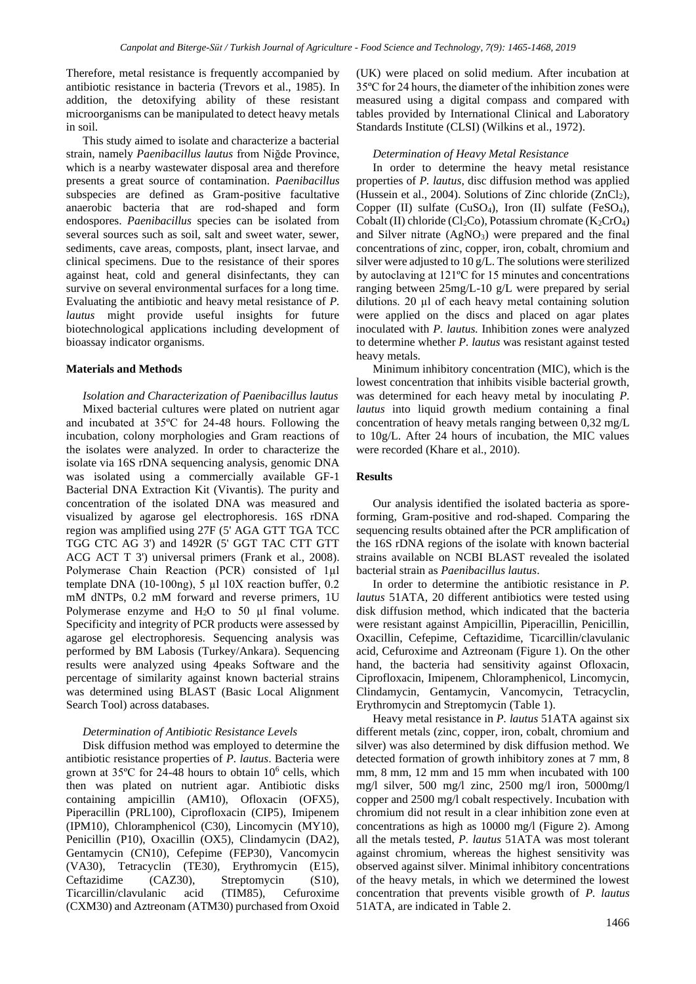Therefore, metal resistance is frequently accompanied by antibiotic resistance in bacteria (Trevors et al., 1985). In addition, the detoxifying ability of these resistant microorganisms can be manipulated to detect heavy metals in soil.

This study aimed to isolate and characterize a bacterial strain, namely *Paenibacillus lautus* from Niğde Province, which is a nearby wastewater disposal area and therefore presents a great source of contamination. *Paenibacillus*  subspecies are defined as Gram-positive facultative anaerobic bacteria that are rod-shaped and form endospores. *Paenibacillus* species can be isolated from several sources such as soil, salt and sweet water, sewer, sediments, cave areas, composts, plant, insect larvae, and clinical specimens. Due to the resistance of their spores against heat, cold and general disinfectants, they can survive on several environmental surfaces for a long time. Evaluating the antibiotic and heavy metal resistance of *P. lautus* might provide useful insights for future biotechnological applications including development of bioassay indicator organisms.

#### **Materials and Methods**

*Isolation and Characterization of Paenibacillus lautus* Mixed bacterial cultures were plated on nutrient agar and incubated at 35ºC for 24-48 hours. Following the incubation, colony morphologies and Gram reactions of the isolates were analyzed. In order to characterize the isolate via 16S rDNA sequencing analysis, genomic DNA was isolated using a commercially available GF-1 Bacterial DNA Extraction Kit (Vivantis). The purity and concentration of the isolated DNA was measured and visualized by agarose gel electrophoresis. 16S rDNA region was amplified using 27F (5' AGA GTT TGA TCC TGG CTC AG 3') and 1492R (5' GGT TAC CTT GTT ACG ACT T 3') universal primers (Frank et al., 2008). Polymerase Chain Reaction (PCR) consisted of 1µl template DNA (10-100ng), 5 µl 10X reaction buffer, 0.2 mM dNTPs, 0.2 mM forward and reverse primers, 1U Polymerase enzyme and  $H_2O$  to 50  $\mu$ l final volume. Specificity and integrity of PCR products were assessed by agarose gel electrophoresis. Sequencing analysis was performed by BM Labosis (Turkey/Ankara). Sequencing results were analyzed using 4peaks Software and the percentage of similarity against known bacterial strains was determined using BLAST (Basic Local Alignment Search Tool) across databases.

#### *Determination of Antibiotic Resistance Levels*

Disk diffusion method was employed to determine the antibiotic resistance properties of *P. lautus*. Bacteria were grown at  $35^{\circ}$ C for 24-48 hours to obtain  $10^{\circ}$  cells, which then was plated on nutrient agar. Antibiotic disks containing ampicillin (AM10), Ofloxacin (OFX5), Piperacillin (PRL100), Ciprofloxacin (CIP5), Imipenem (IPM10), Chloramphenicol (C30), Lincomycin (MY10), Penicillin (P10), Oxacillin (OX5), Clindamycin (DA2), Gentamycin (CN10), Cefepime (FEP30), Vancomycin (VA30), Tetracyclin (TE30), Erythromycin (E15), Ceftazidime (CAZ30), Streptomycin (S10), Ticarcillin/clavulanic acid (TIM85), Cefuroxime (CXM30) and Aztreonam (ATM30) purchased from Oxoid

(UK) were placed on solid medium. After incubation at 35ºC for 24 hours, the diameter of the inhibition zones were measured using a digital compass and compared with tables provided by International Clinical and Laboratory Standards Institute (CLSI) (Wilkins et al., 1972).

#### *Determination of Heavy Metal Resistance*

In order to determine the heavy metal resistance properties of *P. lautus*, disc diffusion method was applied (Hussein et al., 2004). Solutions of Zinc chloride  $(ZnCl<sub>2</sub>)$ , Copper (II) sulfate (CuSO<sub>4</sub>), Iron (II) sulfate (FeSO<sub>4</sub>), Cobalt (II) chloride (Cl<sub>2</sub>Co), Potassium chromate (K<sub>2</sub>CrO<sub>4</sub>) and Silver nitrate  $(AgNO<sub>3</sub>)$  were prepared and the final concentrations of zinc, copper, iron, cobalt, chromium and silver were adjusted to 10 g/L. The solutions were sterilized by autoclaving at 121ºC for 15 minutes and concentrations ranging between 25mg/L-10 g/L were prepared by serial dilutions. 20 µl of each heavy metal containing solution were applied on the discs and placed on agar plates inoculated with *P. lautus.* Inhibition zones were analyzed to determine whether *P. lautus* was resistant against tested heavy metals.

Minimum inhibitory concentration (MIC), which is the lowest concentration that inhibits visible bacterial growth, was determined for each heavy metal by inoculating *P. lautus* into liquid growth medium containing a final concentration of heavy metals ranging between 0,32 mg/L to 10g/L. After 24 hours of incubation, the MIC values were recorded (Khare et al., 2010).

### **Results**

Our analysis identified the isolated bacteria as sporeforming, Gram-positive and rod-shaped. Comparing the sequencing results obtained after the PCR amplification of the 16S rDNA regions of the isolate with known bacterial strains available on NCBI BLAST revealed the isolated bacterial strain as *Paenibacillus lautus*.

In order to determine the antibiotic resistance in *P. lautus* 51ATA*,* 20 different antibiotics were tested using disk diffusion method, which indicated that the bacteria were resistant against Ampicillin, Piperacillin, Penicillin, Oxacillin, Cefepime, Ceftazidime, Ticarcillin/clavulanic acid, Cefuroxime and Aztreonam (Figure 1). On the other hand, the bacteria had sensitivity against Ofloxacin, Ciprofloxacin, Imipenem, Chloramphenicol, Lincomycin, Clindamycin, Gentamycin, Vancomycin, Tetracyclin, Erythromycin and Streptomycin (Table 1).

Heavy metal resistance in *P. lautus* 51ATA against six different metals (zinc, copper, iron, cobalt, chromium and silver) was also determined by disk diffusion method. We detected formation of growth inhibitory zones at 7 mm, 8 mm, 8 mm, 12 mm and 15 mm when incubated with 100 mg/l silver, 500 mg/l zinc, 2500 mg/l iron, 5000mg/l copper and 2500 mg/l cobalt respectively. Incubation with chromium did not result in a clear inhibition zone even at concentrations as high as 10000 mg/l (Figure 2). Among all the metals tested, *P. lautus* 51ATA was most tolerant against chromium, whereas the highest sensitivity was observed against silver. Minimal inhibitory concentrations of the heavy metals, in which we determined the lowest concentration that prevents visible growth of *P. lautus*  51ATA*,* are indicated in Table 2.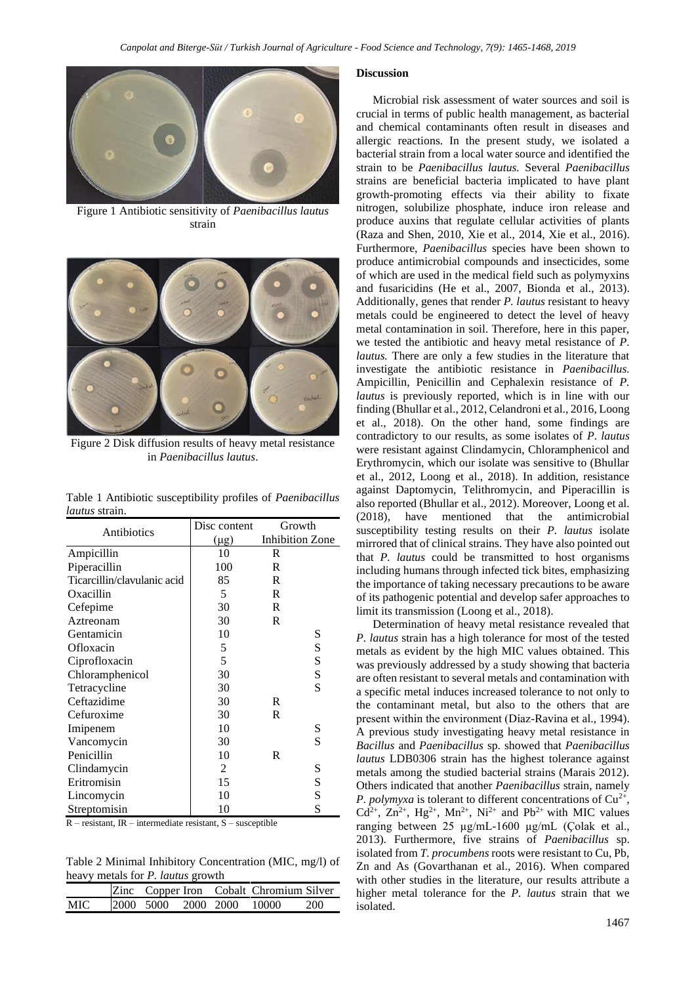

Figure 1 Antibiotic sensitivity of *Paenibacillus lautus* strain



Figure 2 Disk diffusion results of heavy metal resistance in *Paenibacillus lautus*.

Table 1 Antibiotic susceptibility profiles of *Paenibacillus lautus* strain.

| Antibiotics                 | Disc content   | Growth                 |   |
|-----------------------------|----------------|------------------------|---|
|                             | $(\mu g)$      | <b>Inhibition Zone</b> |   |
| Ampicillin                  | 10             | R                      |   |
| Piperacillin                | 100            | R                      |   |
| Ticarcillin/clavulanic acid | 85             | R                      |   |
| Oxacillin                   | $\mathfrak{S}$ | R                      |   |
| Cefepime                    | 30             | R                      |   |
| Aztreonam                   | 30             | R                      |   |
| Gentamicin                  | 10             |                        | S |
| Ofloxacin                   | 5              |                        | S |
| Ciprofloxacin               | 5              |                        | S |
| Chloramphenicol             | 30             |                        | S |
| Tetracycline                | 30             |                        | S |
| Ceftazidime                 | 30             | R                      |   |
| Cefuroxime                  | 30             | R                      |   |
| Imipenem                    | 10             |                        | S |
| Vancomycin                  | 30             |                        | S |
| Penicillin                  | 10             | R                      |   |
| Clindamycin                 | 2              |                        | S |
| Eritromisin                 | 15             |                        | S |
| Lincomycin                  | 10             |                        | S |
| Streptomisin                | 10             |                        | S |

R – resistant, IR – intermediate resistant, S – susceptible

Table 2 Minimal Inhibitory Concentration (MIC, mg/l) of heavy metals for *P. lautus* growth

|      |                     |  | Zinc Copper Iron Cobalt Chromium Silver |     |
|------|---------------------|--|-----------------------------------------|-----|
| MIC. | 2000 5000 2000 2000 |  | - 10000                                 | 200 |

#### **Discussion**

Microbial risk assessment of water sources and soil is crucial in terms of public health management, as bacterial and chemical contaminants often result in diseases and allergic reactions. In the present study, we isolated a bacterial strain from a local water source and identified the strain to be *Paenibacillus lautus.* Several *Paenibacillus* strains are beneficial bacteria implicated to have plant growth-promoting effects via their ability to fixate nitrogen, solubilize phosphate, induce iron release and produce auxins that regulate cellular activities of plants (Raza and Shen, 2010, Xie et al., 2014, Xie et al., 2016). Furthermore, *Paenibacillus* species have been shown to produce antimicrobial compounds and insecticides, some of which are used in the medical field such as polymyxins and fusaricidins (He et al., 2007, Bionda et al., 2013). Additionally, genes that render *P. lautus* resistant to heavy metals could be engineered to detect the level of heavy metal contamination in soil. Therefore, here in this paper, we tested the antibiotic and heavy metal resistance of *P. lautus.* There are only a few studies in the literature that investigate the antibiotic resistance in *Paenibacillus.*  Ampicillin, Penicillin and Cephalexin resistance of *P. lautus* is previously reported, which is in line with our finding (Bhullar et al., 2012, Celandroni et al., 2016, Loong et al., 2018). On the other hand, some findings are contradictory to our results, as some isolates of *P. lautus*  were resistant against Clindamycin, Chloramphenicol and Erythromycin, which our isolate was sensitive to (Bhullar et al., 2012, Loong et al., 2018). In addition, resistance against Daptomycin, Telithromycin, and Piperacillin is also reported (Bhullar et al., 2012). Moreover, Loong et al. (2018), have mentioned that the antimicrobial susceptibility testing results on their *P. lautus* isolate mirrored that of clinical strains. They have also pointed out that *P. lautus* could be transmitted to host organisms including humans through infected tick bites, emphasizing the importance of taking necessary precautions to be aware of its pathogenic potential and develop safer approaches to limit its transmission (Loong et al., 2018).

Determination of heavy metal resistance revealed that *P. lautus* strain has a high tolerance for most of the tested metals as evident by the high MIC values obtained. This was previously addressed by a study showing that bacteria are often resistant to several metals and contamination with a specific metal induces increased tolerance to not only to the contaminant metal, but also to the others that are present within the environment (Díaz-Ravina et al., 1994). A previous study investigating heavy metal resistance in *Bacillus* and *Paenibacillus* sp. showed that *Paenibacillus lautus* LDB0306 strain has the highest tolerance against metals among the studied bacterial strains (Marais 2012). Others indicated that another *Paenibacillus* strain, namely *P. polymyxa* is tolerant to different concentrations of  $Cu^{2+}$ , Cd<sup>2+</sup>, Zn<sup>2+</sup>, Hg<sup>2+</sup>, Mn<sup>2+</sup>, Ni<sup>2+</sup> and Pb<sup>2+</sup> with MIC values ranging between 25 µg/mL-1600 µg/mL (Çolak et al., 2013). Furthermore, five strains of *Paenibacillus* sp. isolated from *T. procumbens* roots were resistant to Cu, Pb, Zn and As (Govarthanan et al., 2016). When compared with other studies in the literature, our results attribute a higher metal tolerance for the *P. lautus* strain that we isolated.